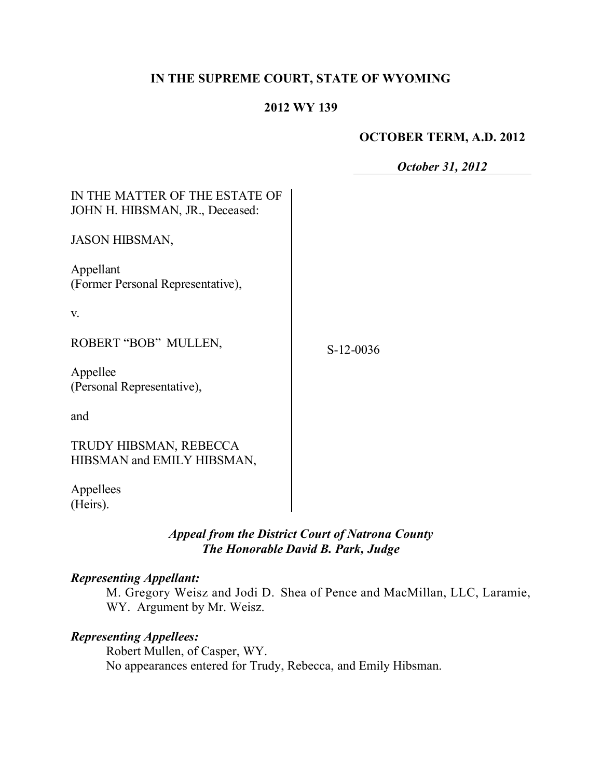## **IN THE SUPREME COURT, STATE OF WYOMING**

#### **2012 WY 139**

### **OCTOBER TERM, A.D. 2012**

*October 31, 2012*

| IN THE MATTER OF THE ESTATE OF<br>JOHN H. HIBSMAN, JR., Deceased: |             |
|-------------------------------------------------------------------|-------------|
| <b>JASON HIBSMAN,</b>                                             |             |
| Appellant<br>(Former Personal Representative),                    |             |
| V.                                                                |             |
| ROBERT "BOB" MULLEN,                                              | $S-12-0036$ |
| Appellee<br>(Personal Representative),                            |             |
| and                                                               |             |
| TRUDY HIBSMAN, REBECCA<br>HIBSMAN and EMILY HIBSMAN,              |             |
| Appellees<br>(Heirs).                                             |             |

# *Appeal from the District Court of Natrona County The Honorable David B. Park, Judge*

#### *Representing Appellant:*

M. Gregory Weisz and Jodi D. Shea of Pence and MacMillan, LLC, Laramie, WY. Argument by Mr. Weisz.

# *Representing Appellees:*

Robert Mullen, of Casper, WY. No appearances entered for Trudy, Rebecca, and Emily Hibsman.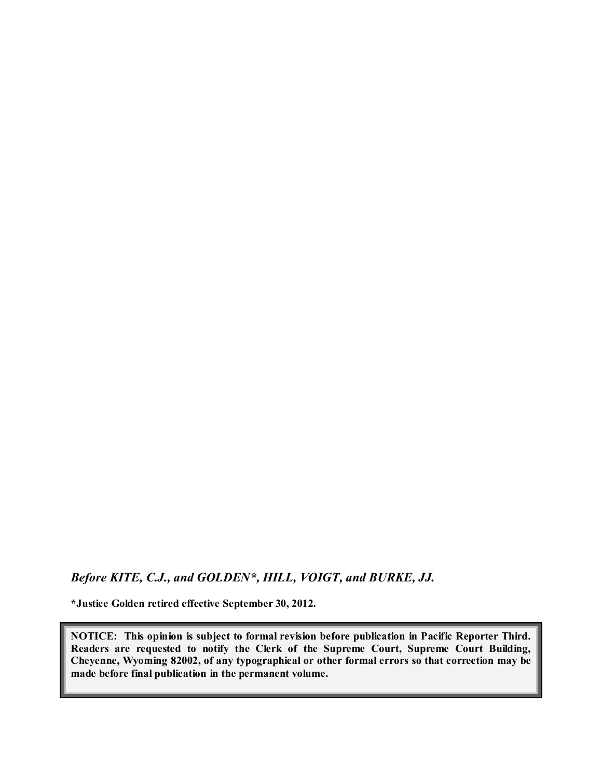*Before KITE, C.J., and GOLDEN\*, HILL, VOIGT, and BURKE, JJ.*

**\*Justice Golden retired effective September 30, 2012.**

**NOTICE: This opinion is subject to formal revision before publication in Pacific Reporter Third. Readers are requested to notify the Clerk of the Supreme Court, Supreme Court Building, Cheyenne, Wyoming 82002, of any typographical or other formal errors so that correction may be made before final publication in the permanent volume.**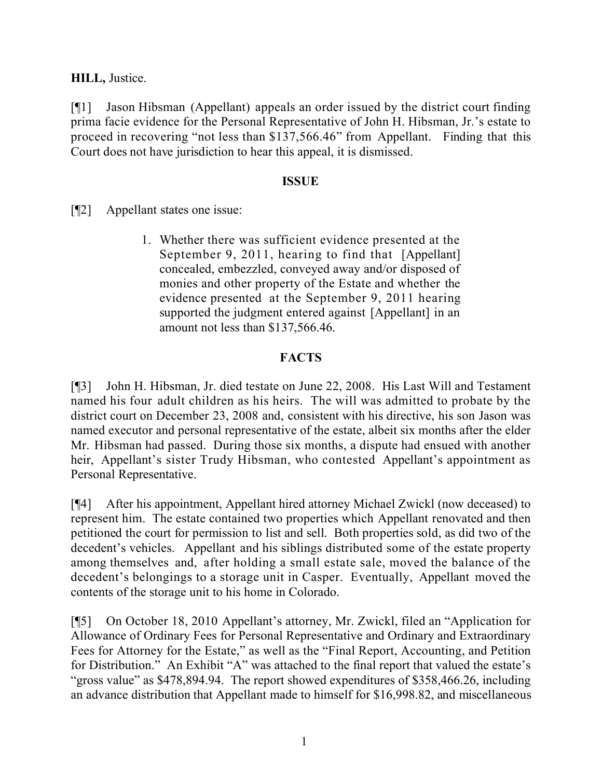**HILL,** Justice.

[¶1] Jason Hibsman (Appellant) appeals an order issued by the district court finding prima facie evidence for the Personal Representative of John H. Hibsman, Jr.'s estate to proceed in recovering "not less than \$137,566.46" from Appellant. Finding that this Court does not have jurisdiction to hear this appeal, it is dismissed.

## **ISSUE**

[¶2] Appellant states one issue:

1. Whether there was sufficient evidence presented at the September 9, 2011, hearing to find that [Appellant] concealed, embezzled, conveyed away and/or disposed of monies and other property of the Estate and whether the evidence presented at the September 9, 2011 hearing supported the judgment entered against [Appellant] in an amount not less than \$137,566.46.

# **FACTS**

[¶3] John H. Hibsman, Jr. died testate on June 22, 2008. His Last Will and Testament named his four adult children as his heirs. The will was admitted to probate by the district court on December 23, 2008 and, consistent with his directive, his son Jason was named executor and personal representative of the estate, albeit six months after the elder Mr. Hibsman had passed. During those six months, a dispute had ensued with another heir, Appellant's sister Trudy Hibsman, who contested Appellant's appointment as Personal Representative.

[¶4] After his appointment, Appellant hired attorney Michael Zwickl (now deceased) to represent him. The estate contained two properties which Appellant renovated and then petitioned the court for permission to list and sell. Both properties sold, as did two of the decedent's vehicles. Appellant and his siblings distributed some of the estate property among themselves and, after holding a small estate sale, moved the balance of the decedent's belongings to a storage unit in Casper. Eventually, Appellant moved the contents of the storage unit to his home in Colorado.

[¶5] On October 18, 2010 Appellant's attorney, Mr. Zwickl, filed an "Application for Allowance of Ordinary Fees for Personal Representative and Ordinary and Extraordinary Fees for Attorney for the Estate," as well as the "Final Report, Accounting, and Petition for Distribution." An Exhibit "A" was attached to the final report that valued the estate's "gross value" as \$478,894.94. The report showed expenditures of \$358,466.26, including an advance distribution that Appellant made to himself for \$16,998.82, and miscellaneous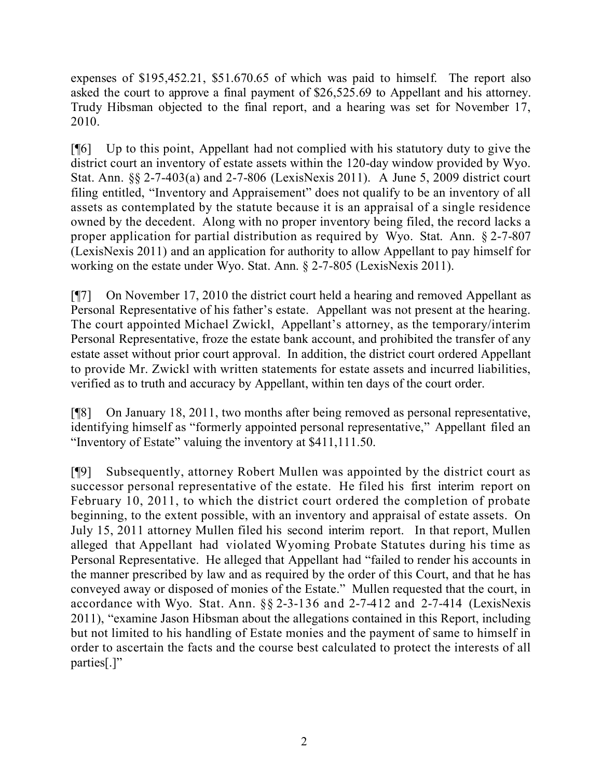expenses of \$195,452.21, \$51.670.65 of which was paid to himself. The report also asked the court to approve a final payment of \$26,525.69 to Appellant and his attorney. Trudy Hibsman objected to the final report, and a hearing was set for November 17, 2010.

[¶6] Up to this point, Appellant had not complied with his statutory duty to give the district court an inventory of estate assets within the 120-day window provided by Wyo. Stat. Ann. §§ 2-7-403(a) and 2-7-806 (LexisNexis 2011). A June 5, 2009 district court filing entitled, "Inventory and Appraisement" does not qualify to be an inventory of all assets as contemplated by the statute because it is an appraisal of a single residence owned by the decedent. Along with no proper inventory being filed, the record lacks a proper application for partial distribution as required by Wyo. Stat. Ann. § 2-7-807 (LexisNexis 2011) and an application for authority to allow Appellant to pay himself for working on the estate under Wyo. Stat. Ann. § 2-7-805 (LexisNexis 2011).

[¶7] On November 17, 2010 the district court held a hearing and removed Appellant as Personal Representative of his father's estate. Appellant was not present at the hearing. The court appointed Michael Zwickl, Appellant's attorney, as the temporary/interim Personal Representative, froze the estate bank account, and prohibited the transfer of any estate asset without prior court approval. In addition, the district court ordered Appellant to provide Mr. Zwickl with written statements for estate assets and incurred liabilities, verified as to truth and accuracy by Appellant, within ten days of the court order.

[¶8] On January 18, 2011, two months after being removed as personal representative, identifying himself as "formerly appointed personal representative," Appellant filed an "Inventory of Estate" valuing the inventory at \$411,111.50.

[¶9] Subsequently, attorney Robert Mullen was appointed by the district court as successor personal representative of the estate. He filed his first interim report on February 10, 2011, to which the district court ordered the completion of probate beginning, to the extent possible, with an inventory and appraisal of estate assets. On July 15, 2011 attorney Mullen filed his second interim report. In that report, Mullen alleged that Appellant had violated Wyoming Probate Statutes during his time as Personal Representative. He alleged that Appellant had "failed to render his accounts in the manner prescribed by law and as required by the order of this Court, and that he has conveyed away or disposed of monies of the Estate." Mullen requested that the court, in accordance with Wyo. Stat. Ann. §§ 2-3-136 and 2-7-412 and 2-7-414 (LexisNexis 2011), "examine Jason Hibsman about the allegations contained in this Report, including but not limited to his handling of Estate monies and the payment of same to himself in order to ascertain the facts and the course best calculated to protect the interests of all parties[.]"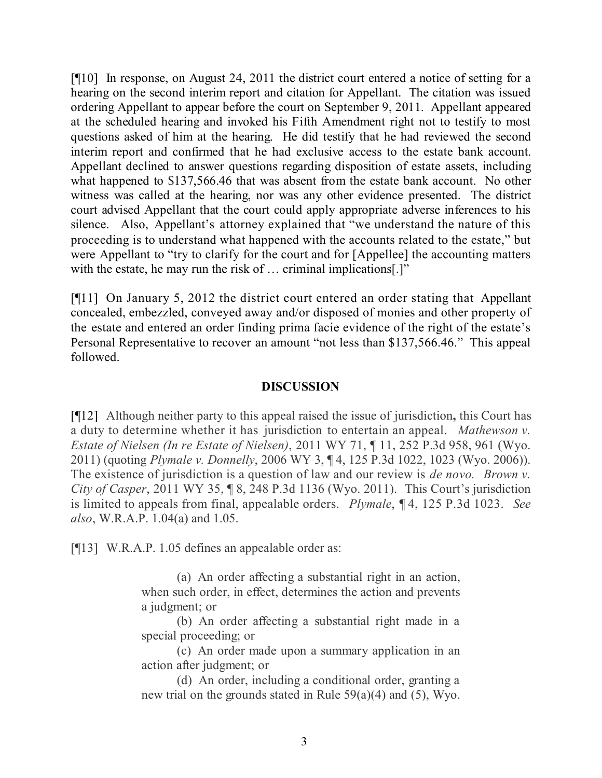[¶10] In response, on August 24, 2011 the district court entered a notice of setting for a hearing on the second interim report and citation for Appellant. The citation was issued ordering Appellant to appear before the court on September 9, 2011. Appellant appeared at the scheduled hearing and invoked his Fifth Amendment right not to testify to most questions asked of him at the hearing. He did testify that he had reviewed the second interim report and confirmed that he had exclusive access to the estate bank account. Appellant declined to answer questions regarding disposition of estate assets, including what happened to \$137,566.46 that was absent from the estate bank account. No other witness was called at the hearing, nor was any other evidence presented. The district court advised Appellant that the court could apply appropriate adverse inferences to his silence. Also, Appellant's attorney explained that "we understand the nature of this proceeding is to understand what happened with the accounts related to the estate," but were Appellant to "try to clarify for the court and for [Appellee] the accounting matters with the estate, he may run the risk of ... criminal implications..."

[¶11] On January 5, 2012 the district court entered an order stating that Appellant concealed, embezzled, conveyed away and/or disposed of monies and other property of the estate and entered an order finding prima facie evidence of the right of the estate's Personal Representative to recover an amount "not less than \$137,566.46." This appeal followed.

### **DISCUSSION**

[¶12] Although neither party to this appeal raised the issue of jurisdiction**,** this Court has a duty to determine whether it has jurisdiction to entertain an appeal. *Mathewson v. Estate of Nielsen (In re Estate of Nielsen)*, 2011 WY 71, ¶ 11, 252 P.3d 958, 961 (Wyo. 2011) (quoting *Plymale v. Donnelly*, 2006 WY 3, ¶ 4, 125 P.3d 1022, 1023 (Wyo. 2006)). The existence of jurisdiction is a question of law and our review is *de novo. Brown v. City of Casper*, 2011 WY 35, ¶ 8, 248 P.3d 1136 (Wyo. 2011). This Court's jurisdiction is limited to appeals from final, appealable orders. *Plymale*, ¶ 4, 125 P.3d 1023. *See also*, W.R.A.P. 1.04(a) and 1.05.

[¶13] W.R.A.P. 1.05 defines an appealable order as:

(a) An order affecting a substantial right in an action, when such order, in effect, determines the action and prevents a judgment; or

(b) An order affecting a substantial right made in a special proceeding; or

(c) An order made upon a summary application in an action after judgment; or

(d) An order, including a conditional order, granting a new trial on the grounds stated in Rule 59(a)(4) and (5), Wyo.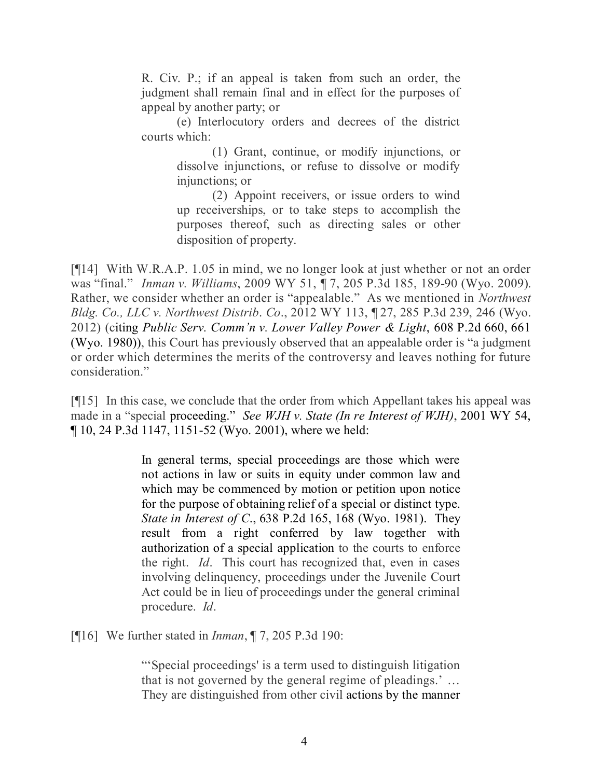R. Civ. P.; if an appeal is taken from such an order, the judgment shall remain final and in effect for the purposes of appeal by another party; or

(e) Interlocutory orders and decrees of the district courts which:

> (1) Grant, continue, or modify injunctions, or dissolve injunctions, or refuse to dissolve or modify injunctions; or

> (2) Appoint receivers, or issue orders to wind up receiverships, or to take steps to accomplish the purposes thereof, such as directing sales or other disposition of property.

[¶14] With W.R.A.P. 1.05 in mind, we no longer look at just whether or not an order was "final." *Inman v. Williams*, 2009 WY 51, ¶ 7, 205 P.3d 185, 189-90 (Wyo. 2009). Rather, we consider whether an order is "appealable." As we mentioned in *Northwest Bldg. Co., LLC v. Northwest Distrib*. *Co*., 2012 WY 113, ¶ 27, 285 P.3d 239, 246 (Wyo. 2012) (citing *Public Serv. Comm'n v. Lower Valley Power & Light*, 608 P.2d 660, 661 (Wyo. 1980)), this Court has previously observed that an appealable order is "a judgment or order which determines the merits of the controversy and leaves nothing for future consideration."

[¶15] In this case, we conclude that the order from which Appellant takes his appeal was made in a "special proceeding." *See WJH v. State (In re Interest of WJH)*, 2001 WY 54, ¶ 10, 24 P.3d 1147, 1151-52 (Wyo. 2001), where we held:

> In general terms, special proceedings are those which were not actions in law or suits in equity under common law and which may be commenced by motion or petition upon notice for the purpose of obtaining relief of a special or distinct type. *State in Interest of C*., 638 P.2d 165, 168 (Wyo. 1981). They result from a right conferred by law together with authorization of a special application to the courts to enforce the right. *Id*. This court has recognized that, even in cases involving delinquency, proceedings under the Juvenile Court Act could be in lieu of proceedings under the general criminal procedure. *Id*.

[¶16] We further stated in *Inman*, ¶ 7, 205 P.3d 190:

"'Special proceedings' is a term used to distinguish litigation that is not governed by the general regime of pleadings.' … They are distinguished from other civil actions by the manner